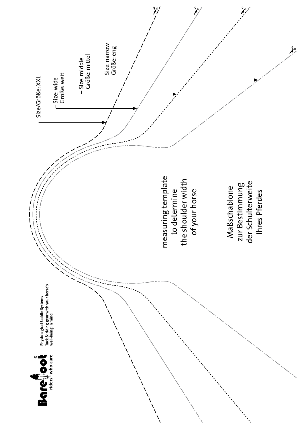